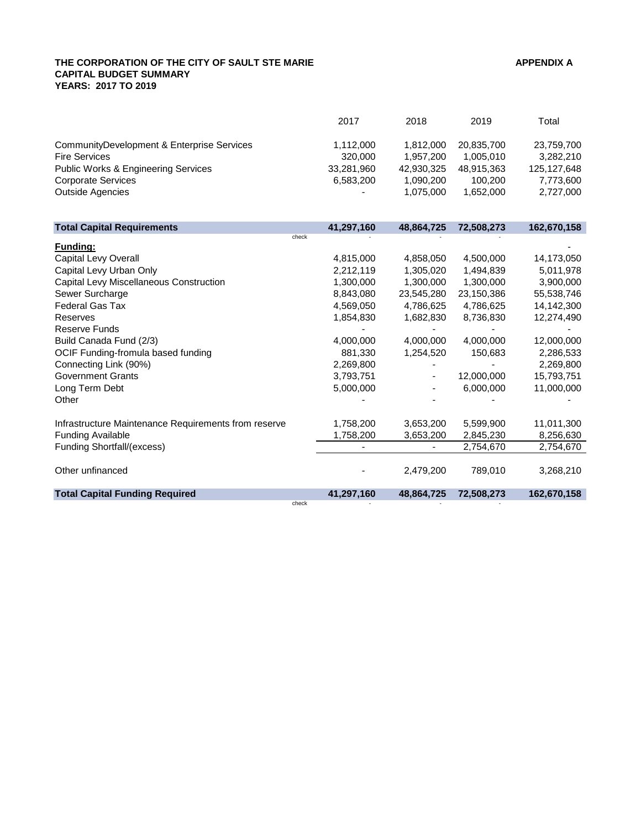|                                            | 2017           | 2018       | 2019       | Total         |
|--------------------------------------------|----------------|------------|------------|---------------|
| CommunityDevelopment & Enterprise Services | 1.112.000      | 1.812.000  | 20.835.700 | 23.759.700    |
| <b>Fire Services</b>                       | 320,000        | 1.957.200  | 1.005.010  | 3.282.210     |
| Public Works & Engineering Services        | 33.281.960     | 42.930.325 | 48.915.363 | 125, 127, 648 |
| <b>Corporate Services</b>                  | 6,583,200      | 1,090,200  | 100.200    | 7,773,600     |
| <b>Outside Agencies</b>                    | $\blacksquare$ | 1,075,000  | 1,652,000  | 2,727,000     |

| <b>Total Capital Requirements</b>                    |       | 41,297,160 | 48,864,725               | 72,508,273 | 162,670,158 |
|------------------------------------------------------|-------|------------|--------------------------|------------|-------------|
| <b>Funding:</b>                                      | check |            |                          |            |             |
| Capital Levy Overall                                 |       | 4,815,000  | 4,858,050                | 4,500,000  | 14,173,050  |
| Capital Levy Urban Only                              |       | 2,212,119  | 1,305,020                | 1,494,839  | 5,011,978   |
| Capital Levy Miscellaneous Construction              |       | 1,300,000  | 1,300,000                | 1,300,000  | 3,900,000   |
| Sewer Surcharge                                      |       | 8,843,080  | 23,545,280               | 23,150,386 | 55,538,746  |
| <b>Federal Gas Tax</b>                               |       | 4,569,050  | 4,786,625                | 4,786,625  | 14,142,300  |
| Reserves                                             |       | 1,854,830  | 1,682,830                | 8,736,830  | 12,274,490  |
| Reserve Funds                                        |       |            |                          |            |             |
| Build Canada Fund (2/3)                              |       | 4,000,000  | 4,000,000                | 4,000,000  | 12,000,000  |
| OCIF Funding-fromula based funding                   |       | 881,330    | 1,254,520                | 150,683    | 2,286,533   |
| Connecting Link (90%)                                |       | 2,269,800  |                          |            | 2,269,800   |
| <b>Government Grants</b>                             |       | 3,793,751  | $\overline{\phantom{a}}$ | 12,000,000 | 15,793,751  |
| Long Term Debt                                       |       | 5,000,000  |                          | 6,000,000  | 11,000,000  |
| Other                                                |       |            |                          |            |             |
| Infrastructure Maintenance Requirements from reserve |       | 1,758,200  | 3,653,200                | 5,599,900  | 11,011,300  |
| <b>Funding Available</b>                             |       | 1,758,200  | 3,653,200                | 2,845,230  | 8,256,630   |
| Funding Shortfall/(excess)                           |       |            |                          | 2,754,670  | 2,754,670   |
| Other unfinanced                                     |       |            | 2,479,200                | 789,010    | 3,268,210   |
| <b>Total Capital Funding Required</b>                |       | 41,297,160 | 48,864,725               | 72,508,273 | 162,670,158 |
|                                                      | check |            |                          |            |             |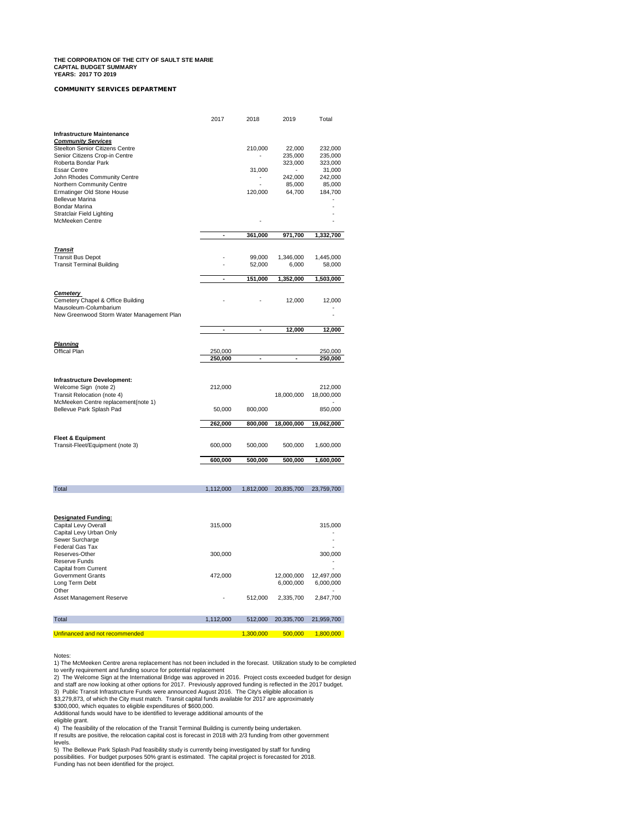#### *COMMUNITY SERVICES DEPARTMENT*

|                                                     | 2017           | 2018                     | 2019              | Total             |
|-----------------------------------------------------|----------------|--------------------------|-------------------|-------------------|
| <b>Infrastructure Maintenance</b>                   |                |                          |                   |                   |
| <b>Community Services</b>                           |                |                          |                   |                   |
| Steelton Senior Citizens Centre                     |                | 210,000                  | 22,000            | 232,000           |
| Senior Citizens Crop-in Centre                      |                |                          | 235,000           | 235,000           |
| Roberta Bondar Park                                 |                |                          | 323,000           | 323,000           |
| <b>Essar Centre</b><br>John Rhodes Community Centre |                | 31,000                   | $\sim$<br>242,000 | 31,000<br>242,000 |
| Northern Community Centre                           |                |                          | 85,000            | 85,000            |
| Ermatinger Old Stone House                          |                | 120,000                  | 64,700            | 184,700           |
| <b>Bellevue Marina</b>                              |                |                          |                   |                   |
| Bondar Marina                                       |                |                          |                   |                   |
| Stratclair Field Lighting                           |                |                          |                   |                   |
| <b>McMeeken Centre</b>                              |                |                          |                   |                   |
|                                                     | $\overline{a}$ | 361,000                  | 971,700           | 1,332,700         |
|                                                     |                |                          |                   |                   |
| <b>Transit</b><br><b>Transit Bus Depot</b>          |                | 99,000                   | 1,346,000         | 1,445,000         |
| <b>Transit Terminal Building</b>                    |                | 52,000                   | 6,000             | 58,000            |
|                                                     |                |                          |                   |                   |
|                                                     | ٠              | 151,000                  | 1,352,000         | 1,503,000         |
| Cemetery                                            |                |                          |                   |                   |
| Cemetery Chapel & Office Building                   |                |                          | 12,000            | 12,000            |
| Mausoleum-Columbarium                               |                |                          |                   |                   |
| New Greenwood Storm Water Management Plan           |                |                          |                   |                   |
|                                                     | ٠              | $\overline{\phantom{a}}$ | 12.000            | 12,000            |
|                                                     |                |                          |                   |                   |
| Planning                                            |                |                          |                   |                   |
| Offical Plan                                        | 250,000        |                          |                   | 250,000           |
|                                                     | 250,000        | ä,                       | ä,                | 250,000           |
|                                                     |                |                          |                   |                   |
|                                                     |                |                          |                   |                   |
| Infrastructure Development:                         |                |                          |                   |                   |
| Welcome Sign (note 2)                               | 212,000        |                          |                   | 212,000           |
| Transit Relocation (note 4)                         |                |                          | 18,000,000        | 18,000,000        |
| McMeeken Centre replacement(note 1)                 |                |                          |                   |                   |
| Bellevue Park Splash Pad                            | 50,000         | 800,000                  |                   | 850,000           |
|                                                     | 262,000        | 800,000                  | 18,000,000        | 19,062,000        |
|                                                     |                |                          |                   |                   |
| <b>Fleet &amp; Equipment</b>                        |                |                          |                   |                   |
| Transit-Fleet/Equipment (note 3)                    | 600,000        | 500,000                  | 500,000           | 1,600,000         |
|                                                     | 600,000        | 500,000                  | 500,000           | 1,600,000         |
|                                                     |                |                          |                   |                   |
|                                                     |                |                          |                   |                   |
| Total                                               | 1,112,000      | 1,812,000                | 20,835,700        | 23,759,700        |
|                                                     |                |                          |                   |                   |
|                                                     |                |                          |                   |                   |

| Capital Levy Overall           | 315,000   |           |            | 315.000    |
|--------------------------------|-----------|-----------|------------|------------|
| Capital Levy Urban Only        |           |           |            |            |
| Sewer Surcharge                |           |           |            | ۰          |
| Federal Gas Tax                |           |           |            |            |
| Reserves-Other                 | 300,000   |           |            | 300,000    |
| Reserve Funds                  |           |           |            |            |
| Capital from Current           |           |           |            |            |
| <b>Government Grants</b>       | 472.000   |           | 12.000.000 | 12.497.000 |
| Long Term Debt                 |           |           | 6.000.000  | 6.000.000  |
| Other                          |           |           |            |            |
| Asset Management Reserve       |           | 512.000   | 2.335.700  | 2.847.700  |
|                                |           |           |            |            |
|                                |           |           |            |            |
| Total                          | 1.112.000 | 512.000   | 20.335.700 | 21.959.700 |
|                                |           |           |            |            |
| Unfinanced and not recommended |           | 1.300.000 | 500.000    | 1.800.000  |

Notes:

1) The McMeeken Centre arena replacement has not been included in the forecast. Utilization study to be completed to verify requirement and funding source for potential replacement 2) The Welcome Sign at the International Bridge was approved in 2016. Project costs exceeded budget for design

and staff are now looking at other options for 2017. Previously approved funding is reflected in the 2017 budget.<br>3) Public Transit Infrastructure Funds were announced August 2016. The City's eligible allocation is<br>\$3,2

Additional funds would have to be identified to leverage additional amounts of the eligible grant.

4) The feasibility of the relocation of the Transit Terminal Building is currently being undertaken. If results are positive, the relocation capital cost is forecast in 2018 with 2/3 funding from other government

levels.<br>5) The Bellevue Park Splash Pad feasibility study is currently being investigated by staff for funding<br>possibilities. For budget purposes 50% grant is estimated. The capital project is forecasted for 2018.<br>Fundi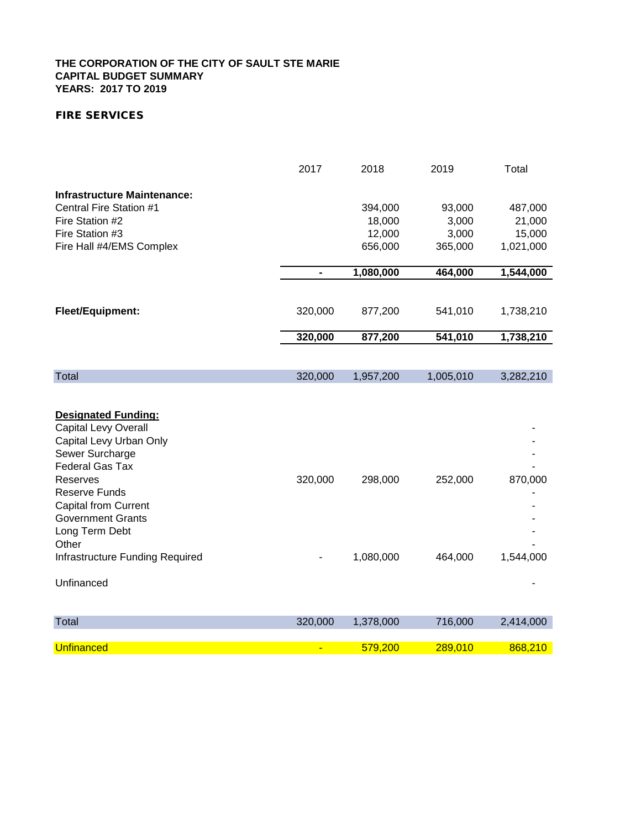# *FIRE SERVICES*

|                                                                                                                                                                                                                           | 2017    | 2018      | 2019      | Total     |
|---------------------------------------------------------------------------------------------------------------------------------------------------------------------------------------------------------------------------|---------|-----------|-----------|-----------|
| <b>Infrastructure Maintenance:</b>                                                                                                                                                                                        |         |           |           |           |
| Central Fire Station #1                                                                                                                                                                                                   |         | 394,000   | 93,000    | 487,000   |
| Fire Station #2                                                                                                                                                                                                           |         | 18,000    | 3,000     | 21,000    |
| Fire Station #3                                                                                                                                                                                                           |         | 12,000    | 3,000     | 15,000    |
| Fire Hall #4/EMS Complex                                                                                                                                                                                                  |         | 656,000   | 365,000   | 1,021,000 |
|                                                                                                                                                                                                                           |         | 1,080,000 | 464,000   | 1,544,000 |
|                                                                                                                                                                                                                           |         |           |           |           |
| Fleet/Equipment:                                                                                                                                                                                                          | 320,000 | 877,200   | 541,010   | 1,738,210 |
|                                                                                                                                                                                                                           | 320,000 | 877,200   | 541,010   | 1,738,210 |
|                                                                                                                                                                                                                           |         |           |           |           |
| <b>Total</b>                                                                                                                                                                                                              | 320,000 | 1,957,200 | 1,005,010 | 3,282,210 |
| <b>Designated Funding:</b><br>Capital Levy Overall<br>Capital Levy Urban Only<br>Sewer Surcharge<br><b>Federal Gas Tax</b><br>Reserves<br><b>Reserve Funds</b><br><b>Capital from Current</b><br><b>Government Grants</b> | 320,000 | 298,000   | 252,000   | 870,000   |
| Long Term Debt<br>Other                                                                                                                                                                                                   |         |           |           |           |
| Infrastructure Funding Required                                                                                                                                                                                           |         | 1,080,000 | 464,000   | 1,544,000 |
| Unfinanced                                                                                                                                                                                                                |         |           |           |           |
| Total                                                                                                                                                                                                                     | 320,000 | 1,378,000 | 716,000   | 2,414,000 |
|                                                                                                                                                                                                                           |         |           |           |           |
| <b>Unfinanced</b>                                                                                                                                                                                                         |         | 579,200   | 289,010   | 868,210   |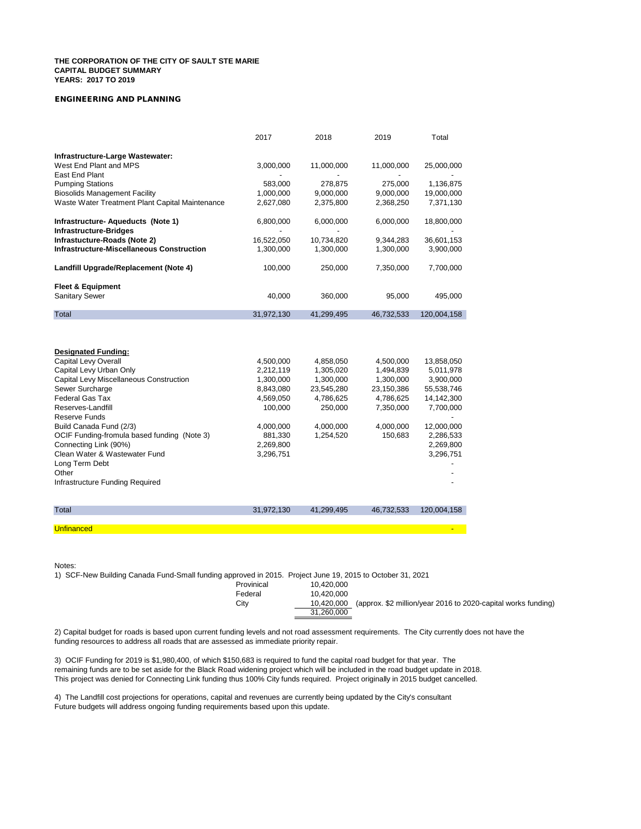#### *ENGINEERING AND PLANNING*

|                                                  | 2017       | 2018       | 2019       | Total       |
|--------------------------------------------------|------------|------------|------------|-------------|
| Infrastructure-Large Wastewater:                 |            |            |            |             |
| West End Plant and MPS                           | 3,000,000  | 11,000,000 | 11,000,000 | 25,000,000  |
| East End Plant                                   |            |            |            |             |
| <b>Pumping Stations</b>                          | 583,000    | 278,875    | 275,000    | 1,136,875   |
| <b>Biosolids Management Facility</b>             | 1,000,000  | 9,000,000  | 9,000,000  | 19,000,000  |
| Waste Water Treatment Plant Capital Maintenance  | 2,627,080  | 2,375,800  | 2,368,250  | 7,371,130   |
| Infrastructure- Aqueducts (Note 1)               | 6,800,000  | 6,000,000  | 6,000,000  | 18,800,000  |
| <b>Infrastructure-Bridges</b>                    |            |            |            |             |
| Infrastucture-Roads (Note 2)                     | 16,522,050 | 10,734,820 | 9,344,283  | 36,601,153  |
| <b>Infrastructure-Miscellaneous Construction</b> | 1,300,000  | 1,300,000  | 1,300,000  | 3,900,000   |
| Landfill Upgrade/Replacement (Note 4)            | 100,000    | 250,000    | 7,350,000  | 7,700,000   |
| <b>Fleet &amp; Equipment</b>                     |            |            |            |             |
| <b>Sanitary Sewer</b>                            | 40,000     | 360,000    | 95,000     | 495,000     |
| Total                                            | 31,972,130 | 41,299,495 | 46,732,533 | 120,004,158 |
| <b>Designated Funding:</b>                       |            |            |            |             |
| <b>Capital Levy Overall</b>                      | 4,500,000  | 4,858,050  | 4,500,000  | 13,858,050  |
| Capital Levy Urban Only                          | 2,212,119  | 1,305,020  | 1,494,839  | 5,011,978   |
| Capital Levy Miscellaneous Construction          | 1,300,000  | 1,300,000  | 1,300,000  | 3,900,000   |
| Sewer Surcharge                                  | 8,843,080  | 23,545,280 | 23,150,386 | 55,538,746  |
| <b>Federal Gas Tax</b>                           | 4,569,050  | 4,786,625  | 4,786,625  | 14,142,300  |
| Reserves-Landfill                                | 100,000    | 250,000    | 7,350,000  | 7,700,000   |
| Reserve Funds                                    |            |            |            |             |
| Build Canada Fund (2/3)                          | 4,000,000  | 4,000,000  | 4,000,000  | 12,000,000  |
| OCIF Funding-fromula based funding (Note 3)      | 881,330    | 1,254,520  | 150,683    | 2,286,533   |
| Connecting Link (90%)                            | 2,269,800  |            |            | 2,269,800   |
| Clean Water & Wastewater Fund                    | 3,296,751  |            |            | 3,296,751   |
| Long Term Debt                                   |            |            |            |             |
| Other                                            |            |            |            |             |
| Infrastructure Funding Required                  |            |            |            |             |
|                                                  |            |            |            |             |
| Total                                            | 31,972,130 | 41,299,495 | 46,732,533 | 120,004,158 |
| <b>Unfinanced</b>                                |            |            |            |             |
|                                                  |            |            |            |             |

Notes:

1) SCF-New Building Canada Fund-Small funding approved in 2015. Project June 19, 2015 to October 31, 2021

| Provinical<br>10.420.000                                                            |  |
|-------------------------------------------------------------------------------------|--|
| 10.420.000<br>Federal                                                               |  |
| (approx. \$2 million/year 2016 to 2020-capital works funding)<br>City<br>10.420.000 |  |
| 31.260.000                                                                          |  |

2) Capital budget for roads is based upon current funding levels and not road assessment requirements. The City currently does not have the funding resources to address all roads that are assessed as immediate priority repair.

3) OCIF Funding for 2019 is \$1,980,400, of which \$150,683 is required to fund the capital road budget for that year. The remaining funds are to be set aside for the Black Road widening project which will be included in the road budget update in 2018. This project was denied for Connecting Link funding thus 100% City funds required. Project originally in 2015 budget cancelled.

4) The Landfill cost projections for operations, capital and revenues are currently being updated by the City's consultant Future budgets will address ongoing funding requirements based upon this update.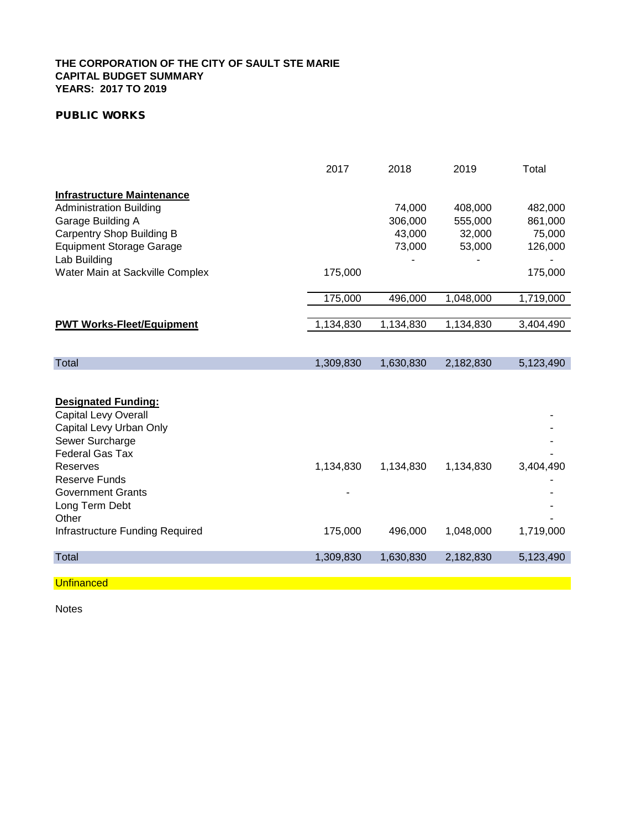# *PUBLIC WORKS*

|                                   | 2017      | 2018      | 2019      | Total     |
|-----------------------------------|-----------|-----------|-----------|-----------|
| <b>Infrastructure Maintenance</b> |           |           |           |           |
| <b>Administration Building</b>    |           | 74,000    | 408,000   | 482,000   |
| Garage Building A                 |           | 306,000   | 555,000   | 861,000   |
| Carpentry Shop Building B         |           | 43,000    | 32,000    | 75,000    |
| <b>Equipment Storage Garage</b>   |           | 73,000    | 53,000    | 126,000   |
| Lab Building                      |           |           |           |           |
| Water Main at Sackville Complex   | 175,000   |           |           | 175,000   |
|                                   | 175,000   | 496,000   | 1,048,000 | 1,719,000 |
| <b>PWT Works-Fleet/Equipment</b>  | 1,134,830 | 1,134,830 | 1,134,830 | 3,404,490 |
|                                   |           |           |           |           |
|                                   |           |           |           |           |
| <b>Total</b>                      | 1,309,830 | 1,630,830 | 2,182,830 | 5,123,490 |
|                                   |           |           |           |           |
| <b>Designated Funding:</b>        |           |           |           |           |
| <b>Capital Levy Overall</b>       |           |           |           |           |
| Capital Levy Urban Only           |           |           |           |           |
| Sewer Surcharge                   |           |           |           |           |
| <b>Federal Gas Tax</b>            |           |           |           |           |
| Reserves                          | 1,134,830 | 1,134,830 | 1,134,830 | 3,404,490 |
| <b>Reserve Funds</b>              |           |           |           |           |
| <b>Government Grants</b>          |           |           |           |           |
| Long Term Debt                    |           |           |           |           |
| Other                             |           |           |           |           |
| Infrastructure Funding Required   | 175,000   | 496,000   | 1,048,000 | 1,719,000 |
| <b>Total</b>                      | 1,309,830 | 1,630,830 | 2,182,830 | 5,123,490 |
|                                   |           |           |           |           |
| <b>Unfinanced</b>                 |           |           |           |           |

Notes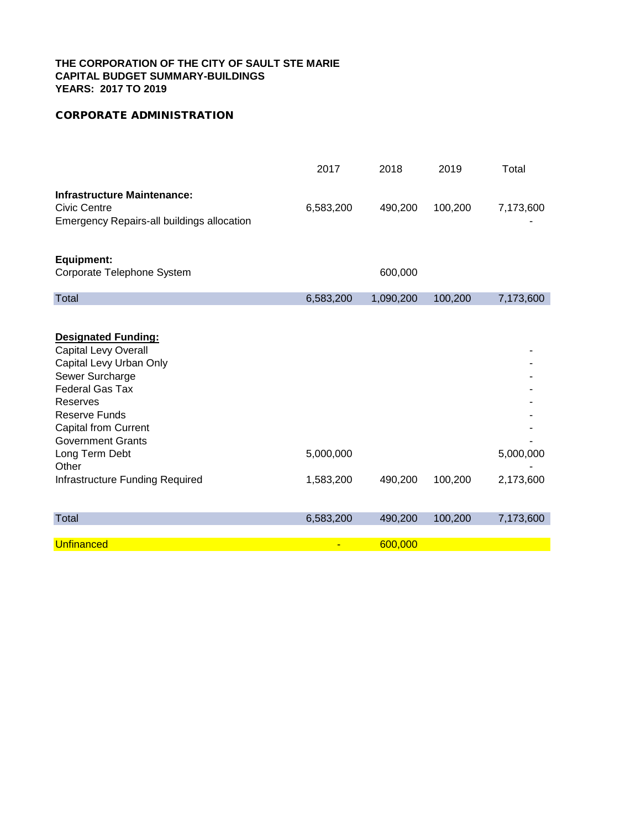# *CORPORATE ADMINISTRATION*

|                                                                                                                | 2017           | 2018      | 2019    | Total     |
|----------------------------------------------------------------------------------------------------------------|----------------|-----------|---------|-----------|
| <b>Infrastructure Maintenance:</b><br><b>Civic Centre</b><br><b>Emergency Repairs-all buildings allocation</b> | 6,583,200      | 490,200   | 100,200 | 7,173,600 |
| <b>Equipment:</b>                                                                                              |                |           |         |           |
| Corporate Telephone System                                                                                     |                | 600,000   |         |           |
| Total                                                                                                          | 6,583,200      | 1,090,200 | 100,200 | 7,173,600 |
| <b>Designated Funding:</b>                                                                                     |                |           |         |           |
| <b>Capital Levy Overall</b>                                                                                    |                |           |         |           |
| Capital Levy Urban Only                                                                                        |                |           |         |           |
| Sewer Surcharge                                                                                                |                |           |         |           |
| <b>Federal Gas Tax</b>                                                                                         |                |           |         |           |
| Reserves                                                                                                       |                |           |         |           |
| <b>Reserve Funds</b>                                                                                           |                |           |         |           |
| <b>Capital from Current</b><br><b>Government Grants</b>                                                        |                |           |         |           |
| Long Term Debt<br>Other                                                                                        | 5,000,000      |           |         | 5,000,000 |
| Infrastructure Funding Required                                                                                | 1,583,200      | 490,200   | 100,200 | 2,173,600 |
|                                                                                                                |                |           |         |           |
| Total                                                                                                          | 6,583,200      | 490,200   | 100,200 | 7,173,600 |
|                                                                                                                |                |           |         |           |
| <b>Unfinanced</b>                                                                                              | $\blacksquare$ | 600,000   |         |           |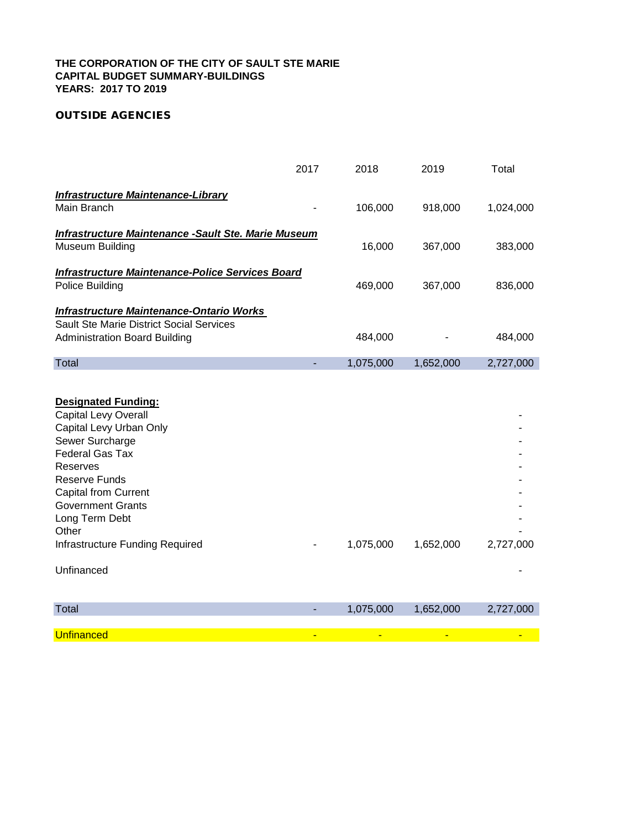# *OUTSIDE AGENCIES*

|                                                                                             | 2017 | 2018      | 2019      | Total     |
|---------------------------------------------------------------------------------------------|------|-----------|-----------|-----------|
| <b>Infrastructure Maintenance-Library</b>                                                   |      |           |           |           |
| Main Branch                                                                                 |      | 106,000   | 918,000   | 1,024,000 |
| Infrastructure Maintenance -Sault Ste. Marie Museum                                         |      |           |           |           |
| Museum Building                                                                             |      | 16.000    | 367,000   | 383,000   |
| Infrastructure Maintenance-Police Services Board                                            |      |           |           |           |
| Police Building                                                                             |      | 469,000   | 367,000   | 836,000   |
| Infrastructure Maintenance-Ontario Works<br><b>Sault Ste Marie District Social Services</b> |      |           |           |           |
| Administration Board Building                                                               |      | 484.000   | ٠         | 484.000   |
| Total                                                                                       |      | 1,075,000 | 1,652,000 | 2,727,000 |

**Designated Funding:**

| Capital Levy Overall            |           |           |           |
|---------------------------------|-----------|-----------|-----------|
| Capital Levy Urban Only         |           |           |           |
| Sewer Surcharge                 |           |           |           |
| <b>Federal Gas Tax</b>          |           |           |           |
| Reserves                        |           |           |           |
| Reserve Funds                   |           |           |           |
| <b>Capital from Current</b>     |           |           | ۰         |
| <b>Government Grants</b>        |           |           |           |
| Long Term Debt                  |           |           |           |
| Other                           |           |           |           |
| Infrastructure Funding Required | 1,075,000 | 1,652,000 | 2,727,000 |
| Unfinanced                      |           |           |           |

| <b>Total</b>      | <b>Contract</b> | 1,075,000 | $\sqrt{1,652,000}$ | 2,727,000 |
|-------------------|-----------------|-----------|--------------------|-----------|
|                   |                 |           |                    |           |
| <b>Unfinanced</b> | -               | . .       | -                  |           |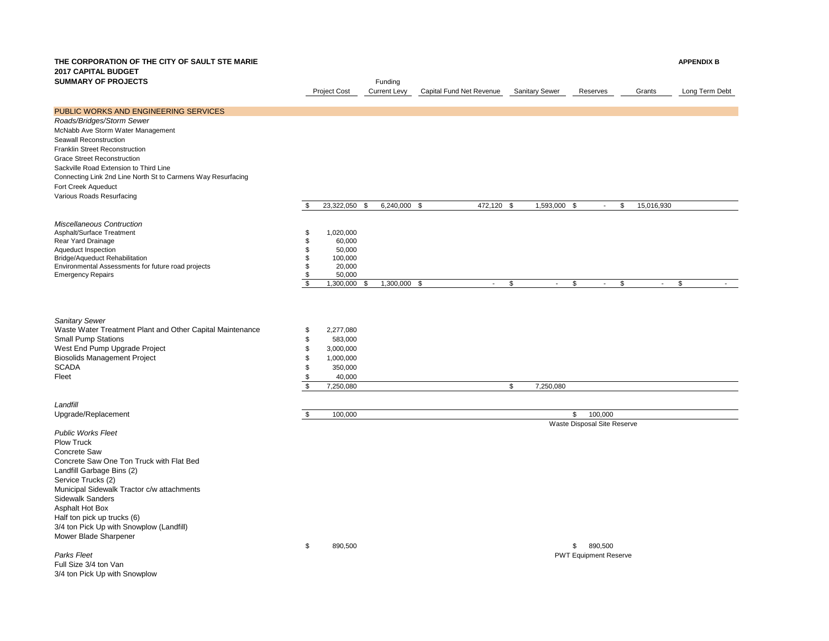#### **THE CORPORATION OF THE CITY OF SAULT STE MARIE APPENDIX B 2017 CAPITAL BUDGET SUMMARY OF PROJECTS Funding Funding Funding**

PUBLIC WORKS AND ENGINEERING SERVICES

*Roads/Bridges/Storm Sewer*

#### Project Cost Current Levy Capital Fund Net Revenue Sanitary Sewer Reserves Grants Long Term Debt

#### McNabb Ave Storm Water Management Seawall Reconstruction Franklin Street Reconstruction Grace Street Reconstruction Sackville Road Extension to Third Line Connecting Link 2nd Line North St to Carmens Way Resurfacing Fort Creek Aqueduct Various Roads Resurfacing \$ 23,322,050 \$ 6,240,000 \$ 472,120 \$ 1,593,000 \$ - \$ 15,016,930 *Miscellaneous Contruction* Asphalt/Surface Treatment  $\begin{array}{ccc} 1,020,000 \\ \text{Rear Yard Drainage} \end{array}$ Rear Yard Drainage 60,000<br>Aqueduct Inspection and the set of the set of the set of the set of the set of the set of the set of the set o<br>Support the set of the set of the set of the set of the set of the set of the set of Aqueduct Inspection 60.000 and 50,000 and 50,000 and 50,000 and 50,000 and 50,000 and 50,000 and 50,000 and 50,000 and 50,000 and 50.000 and 50.000 and 50.000 and 50.000 and 50.000 and 50.000 and 50.000 and 50.000 and 50.0 Bridge/Aqueduct Rehabilitation Environmental Assessments for future road projects \$ 20,000 Emergency Repairs  $\frac{\$}{\$}$  50,000 \$ 1,300,000 \$ 1,300,000 \$ - \$ - \$ - \$ - \$ - *Sanitary Sewer* Waste Water Treatment Plant and Other Capital Maintenance  $$ 2,277,080$ Small Pump Stations **by Stations**  $\frac{1}{2}$  583,000 West End Pump Upgrade Project  $$3,000,000$ Biosolids Management Project \$ 1,000,000  $\text{SCADA}$   $\text{\$}$  350,000 Fleet  $\sim$  40,000 \$ 7,250,080 \$ 7,250,080 *Landfill* Upgrade/Replacement \$ 100,000 \$ 100,000 Waste Disposal Site Reserve *Public Works Fleet* Plow Truck Concrete Saw Concrete Saw One Ton Truck with Flat Bed Landfill Garbage Bins (2) Service Trucks (2) Municipal Sidewalk Tractor c/w attachments Sidewalk Sanders Asphalt Hot Box Half ton pick up trucks (6) 3/4 ton Pick Up with Snowplow (Landfill) Mower Blade Sharpener  $\text{\$}$  890,500 \$890,500 **Parks Fleet** PWT Equipment Reserve Full Size 3/4 ton Van 3/4 ton Pick Up with Snowplow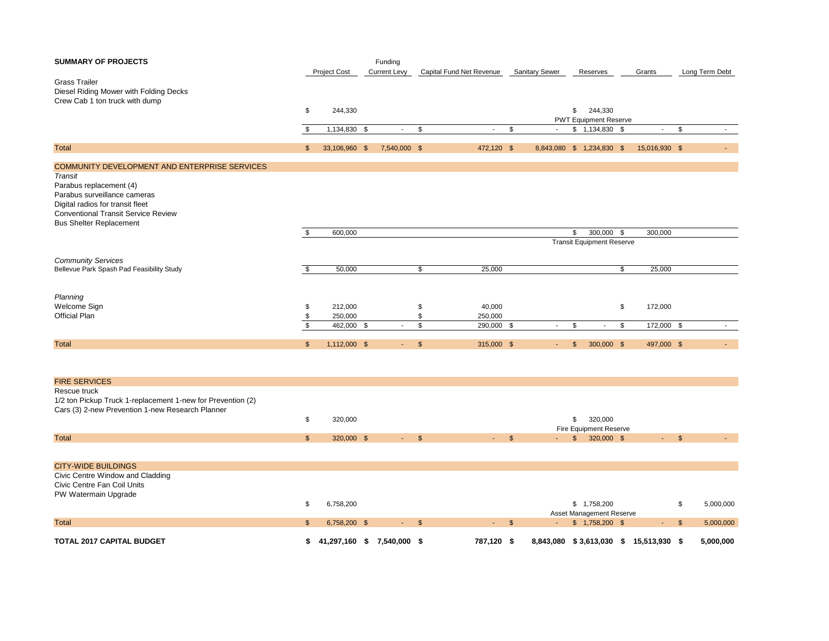| <b>SUMMARY OF PROJECTS</b>                                                                                                                                                  |              | <b>Project Cost</b>   | Funding<br><b>Current Levy</b> |          | Capital Fund Net Revenue |                       | <b>Sanitary Sewer</b> |                           |               | Reserves                             | Grants              | Long Term Debt |    |
|-----------------------------------------------------------------------------------------------------------------------------------------------------------------------------|--------------|-----------------------|--------------------------------|----------|--------------------------|-----------------------|-----------------------|---------------------------|---------------|--------------------------------------|---------------------|----------------|----|
| <b>Grass Trailer</b><br>Diesel Riding Mower with Folding Decks<br>Crew Cab 1 ton truck with dump                                                                            | \$           | 244,330               |                                |          |                          |                       |                       |                           |               | \$244,330                            |                     |                |    |
|                                                                                                                                                                             |              |                       |                                |          |                          |                       |                       |                           |               | <b>PWT Equipment Reserve</b>         |                     |                |    |
|                                                                                                                                                                             | \$           | 1,134,830 \$          | $\sim$                         | \$       |                          | $\sim$                | \$                    | $\sim$                    |               | $$1,134,830$ \$                      | $\sim$              | \$             |    |
| <b>Total</b>                                                                                                                                                                | $\mathbb{S}$ | 33,106,960 \$         | 7,540,000 \$                   |          |                          | 472,120 \$            |                       | 8,843,080 \$ 1,234,830 \$ |               |                                      | 15,016,930 \$       |                |    |
|                                                                                                                                                                             |              |                       |                                |          |                          |                       |                       |                           |               |                                      |                     |                |    |
| COMMUNITY DEVELOPMENT AND ENTERPRISE SERVICES<br>Transit                                                                                                                    |              |                       |                                |          |                          |                       |                       |                           |               |                                      |                     |                |    |
| Parabus replacement (4)<br>Parabus surveillance cameras<br>Digital radios for transit fleet<br><b>Conventional Transit Service Review</b><br><b>Bus Shelter Replacement</b> |              |                       |                                |          |                          |                       |                       |                           |               |                                      |                     |                |    |
|                                                                                                                                                                             | \$           | 600,000               |                                |          |                          |                       |                       |                           | \$            | 300,000 \$                           | 300,000             |                |    |
|                                                                                                                                                                             |              |                       |                                |          |                          |                       |                       |                           |               | <b>Transit Equipment Reserve</b>     |                     |                |    |
| <b>Community Services</b><br>Bellevue Park Spash Pad Feasibility Study                                                                                                      | \$           | 50,000                |                                | \$       |                          | 25,000                |                       |                           |               |                                      | \$<br>25,000        |                |    |
|                                                                                                                                                                             |              |                       |                                |          |                          |                       |                       |                           |               |                                      |                     |                |    |
| Planning                                                                                                                                                                    |              |                       |                                |          |                          |                       |                       |                           |               |                                      |                     |                |    |
| Welcome Sign<br><b>Official Plan</b>                                                                                                                                        | \$           | 212,000               |                                | \$       |                          | 40,000                |                       |                           |               |                                      | \$<br>172,000       |                |    |
|                                                                                                                                                                             | \$<br>\$     | 250,000<br>462,000 \$ | $\sim$                         | \$<br>\$ |                          | 250,000<br>290,000 \$ |                       | $\sim$                    | \$            | $\sim$                               | \$<br>172,000 \$    |                |    |
|                                                                                                                                                                             |              |                       |                                |          |                          |                       |                       |                           |               |                                      |                     |                |    |
| <b>Total</b>                                                                                                                                                                | $\mathbb{S}$ | 1,112,000 \$          | $\sim$                         | \$       |                          | 315,000 \$            |                       | $\sim$                    | $\mathbb{S}$  | 300,000 \$                           | 497,000 \$          |                | ÷. |
|                                                                                                                                                                             |              |                       |                                |          |                          |                       |                       |                           |               |                                      |                     |                |    |
| <b>FIRE SERVICES</b>                                                                                                                                                        |              |                       |                                |          |                          |                       |                       |                           |               |                                      |                     |                |    |
| Rescue truck<br>1/2 ton Pickup Truck 1-replacement 1-new for Prevention (2)<br>Cars (3) 2-new Prevention 1-new Research Planner                                             |              |                       |                                |          |                          |                       |                       |                           |               |                                      |                     |                |    |
|                                                                                                                                                                             | \$           | 320,000               |                                |          |                          |                       |                       |                           | \$            | 320,000                              |                     |                |    |
| <b>Total</b>                                                                                                                                                                | $\mathbb{S}$ |                       | $\omega_{\rm{max}}$            | \$       |                          | <b>Service</b>        | $\mathfrak{F}$        | ÷.                        |               | Fire Equipment Reserve<br>320,000 \$ | $\omega_{\rm{max}}$ | $\mathbb{S}$   |    |
|                                                                                                                                                                             |              | 320,000 \$            |                                |          |                          |                       |                       |                           | $\frac{1}{2}$ |                                      |                     |                |    |
| <b>CITY-WIDE BUILDINGS</b>                                                                                                                                                  |              |                       |                                |          |                          |                       |                       |                           |               |                                      |                     |                |    |
| Civic Centre Window and Cladding                                                                                                                                            |              |                       |                                |          |                          |                       |                       |                           |               |                                      |                     |                |    |
| Civic Centre Fan Coil Units<br>PW Watermain Upgrade                                                                                                                         |              |                       |                                |          |                          |                       |                       |                           |               |                                      |                     |                |    |

| TOTAL 2017 CAPITAL BUDGET | 41,297,160 \$ | 7.540.000                   | 787,120 | 8,843,080 | $$3,613,030$ \$          | 15.513.930 | 5.000.000 |
|---------------------------|---------------|-----------------------------|---------|-----------|--------------------------|------------|-----------|
| Total                     | 6.758.200 \$  | $\sim$ $\sim$ $\sim$ $\sim$ |         |           | $-$ \$ 1.758.200 \$      | / = 7      | 5,000,000 |
|                           |               |                             |         |           | Asset Management Reserve |            |           |
|                           | 6.758.200     |                             |         |           | \$ 1.758.200             |            | 5,000,000 |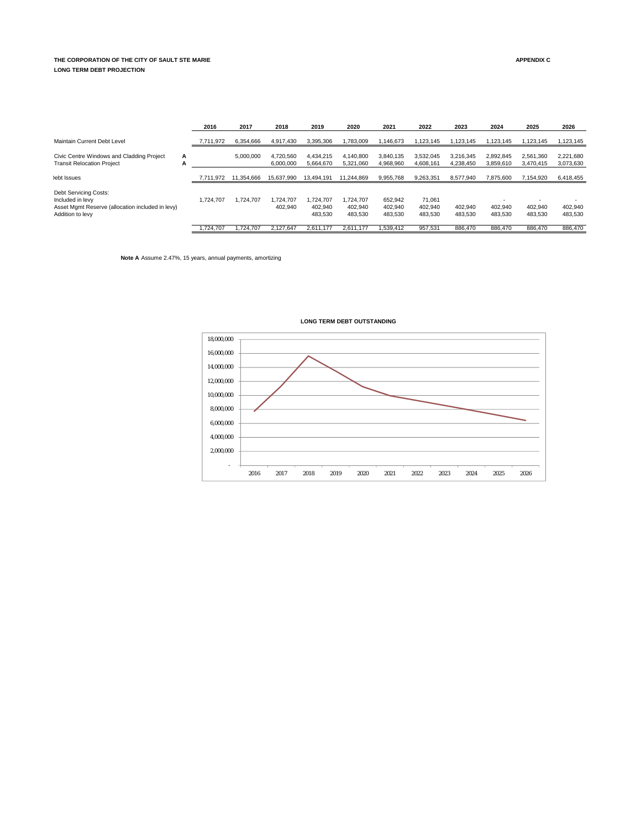#### **THE CORPORATION OF THE CITY OF SAULT STE MARIE APPENDIX C LONG TERM DEBT PROJECTION**

|                                                                                                                   |        | 2016     | 2017       | 2018                   | 2019                            | 2020                            | 2021                          | 2022                         | 2023                   | 2024                                           | 2025                                           | 2026                                           |
|-------------------------------------------------------------------------------------------------------------------|--------|----------|------------|------------------------|---------------------------------|---------------------------------|-------------------------------|------------------------------|------------------------|------------------------------------------------|------------------------------------------------|------------------------------------------------|
| Maintain Current Debt Level                                                                                       |        | .711.972 | 6,354,666  | 4,917,430              | 3.395.306                       | 1,783,009                       | 1.146.673                     | 1.123.145                    | 1.123.145              | 1.123.145                                      | 1,123,145                                      | 1,123,145                                      |
| Civic Centre Windows and Cladding Project<br><b>Transit Relocation Project</b>                                    | А<br>А |          | 5.000.000  | 4.720.560<br>6.000.000 | 4.434.215<br>5.664.670          | 4.140.800<br>5.321.060          | 3.840.135<br>4.968.960        | 3.532.045<br>4.608.161       | 3.216.345<br>4.238.450 | 2.892.845<br>3,859,610                         | 2.561.360<br>3.470.415                         | 2,221,680<br>3,073,630                         |
| lebt Issues                                                                                                       |        | .711.972 | 11.354.666 | 15.637.990             | 13.494.191                      | 11.244.869                      | 9,955,768                     | 9.263.351                    | 8.577.940              | 7.875.600                                      | 7,154,920                                      | 6,418,455                                      |
| Debt Servicing Costs:<br>Included in levy<br>Asset Mgmt Reserve (allocation included in levy)<br>Addition to levy |        | .724.707 | 1.724.707  | 1.724.707<br>402.940   | 1.724.707<br>402.940<br>483.530 | 1.724.707<br>402.940<br>483,530 | 652.942<br>402.940<br>483.530 | 71.061<br>402.940<br>483,530 | 402.940<br>483,530     | $\overline{\phantom{a}}$<br>402.940<br>483,530 | $\overline{\phantom{a}}$<br>402.940<br>483.530 | $\overline{\phantom{a}}$<br>402,940<br>483,530 |
|                                                                                                                   |        | .724.707 | 1.724.707  | 2.127.647              | 2.611.177                       | 2.611.177                       | .539.412                      | 957.531                      | 886,470                | 886,470                                        | 886.470                                        | 886.470                                        |

**Note A** Assume 2.47%, 15 years, annual payments, amortizing



#### **LONG TERM DEBT OUTSTANDING**